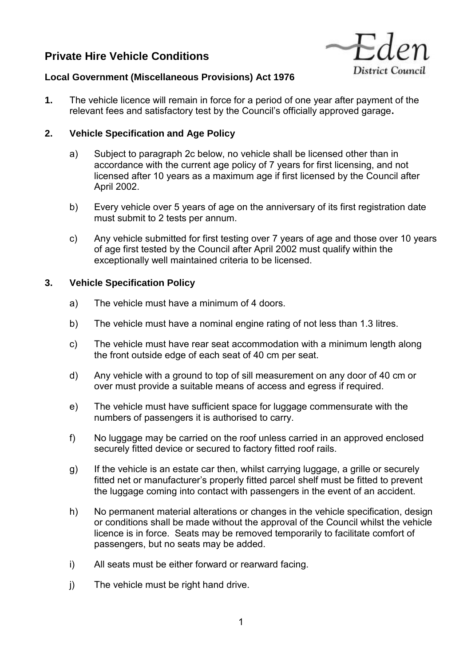# **Private Hire Vehicle Conditions**



## **Local Government (Miscellaneous Provisions) Act 1976**

**1.** The vehicle licence will remain in force for a period of one year after payment of the relevant fees and satisfactory test by the Council's officially approved garage**.** 

# **2. Vehicle Specification and Age Policy**

- a) Subject to paragraph 2c below, no vehicle shall be licensed other than in accordance with the current age policy of 7 years for first licensing, and not licensed after 10 years as a maximum age if first licensed by the Council after April 2002.
- b) Every vehicle over 5 years of age on the anniversary of its first registration date must submit to 2 tests per annum.
- c) Any vehicle submitted for first testing over 7 years of age and those over 10 years of age first tested by the Council after April 2002 must qualify within the exceptionally well maintained criteria to be licensed.

## **3. Vehicle Specification Policy**

- a) The vehicle must have a minimum of 4 doors.
- b) The vehicle must have a nominal engine rating of not less than 1.3 litres.
- c) The vehicle must have rear seat accommodation with a minimum length along the front outside edge of each seat of 40 cm per seat.
- d) Any vehicle with a ground to top of sill measurement on any door of 40 cm or over must provide a suitable means of access and egress if required.
- e) The vehicle must have sufficient space for luggage commensurate with the numbers of passengers it is authorised to carry.
- f) No luggage may be carried on the roof unless carried in an approved enclosed securely fitted device or secured to factory fitted roof rails.
- g) If the vehicle is an estate car then, whilst carrying luggage, a grille or securely fitted net or manufacturer's properly fitted parcel shelf must be fitted to prevent the luggage coming into contact with passengers in the event of an accident.
- h) No permanent material alterations or changes in the vehicle specification, design or conditions shall be made without the approval of the Council whilst the vehicle licence is in force. Seats may be removed temporarily to facilitate comfort of passengers, but no seats may be added.
- i) All seats must be either forward or rearward facing.
- j) The vehicle must be right hand drive.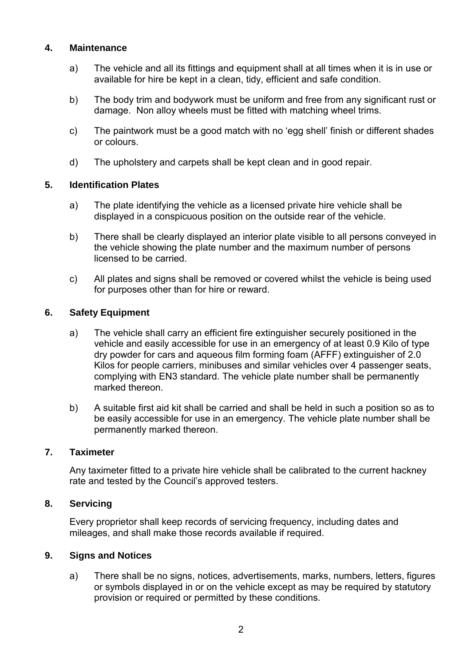### **4. Maintenance**

- a) The vehicle and all its fittings and equipment shall at all times when it is in use or available for hire be kept in a clean, tidy, efficient and safe condition.
- b) The body trim and bodywork must be uniform and free from any significant rust or damage. Non alloy wheels must be fitted with matching wheel trims.
- c) The paintwork must be a good match with no 'egg shell' finish or different shades or colours.
- d) The upholstery and carpets shall be kept clean and in good repair.

## **5. Identification Plates**

- a) The plate identifying the vehicle as a licensed private hire vehicle shall be displayed in a conspicuous position on the outside rear of the vehicle.
- b) There shall be clearly displayed an interior plate visible to all persons conveyed in the vehicle showing the plate number and the maximum number of persons licensed to be carried.
- c) All plates and signs shall be removed or covered whilst the vehicle is being used for purposes other than for hire or reward.

#### **6. Safety Equipment**

- a) The vehicle shall carry an efficient fire extinguisher securely positioned in the vehicle and easily accessible for use in an emergency of at least 0.9 Kilo of type dry powder for cars and aqueous film forming foam (AFFF) extinguisher of 2.0 Kilos for people carriers, minibuses and similar vehicles over 4 passenger seats, complying with EN3 standard. The vehicle plate number shall be permanently marked thereon.
- b) A suitable first aid kit shall be carried and shall be held in such a position so as to be easily accessible for use in an emergency. The vehicle plate number shall be permanently marked thereon.

#### **7. Taximeter**

Any taximeter fitted to a private hire vehicle shall be calibrated to the current hackney rate and tested by the Council's approved testers.

#### **8. Servicing**

Every proprietor shall keep records of servicing frequency, including dates and mileages, and shall make those records available if required.

#### **9. Signs and Notices**

a) There shall be no signs, notices, advertisements, marks, numbers, letters, figures or symbols displayed in or on the vehicle except as may be required by statutory provision or required or permitted by these conditions.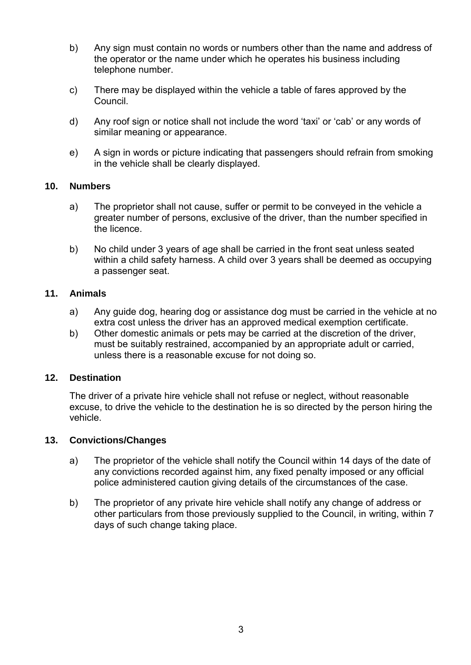- b) Any sign must contain no words or numbers other than the name and address of the operator or the name under which he operates his business including telephone number.
- c) There may be displayed within the vehicle a table of fares approved by the Council.
- d) Any roof sign or notice shall not include the word 'taxi' or 'cab' or any words of similar meaning or appearance.
- e) A sign in words or picture indicating that passengers should refrain from smoking in the vehicle shall be clearly displayed.

# **10. Numbers**

- a) The proprietor shall not cause, suffer or permit to be conveyed in the vehicle a greater number of persons, exclusive of the driver, than the number specified in the licence.
- b) No child under 3 years of age shall be carried in the front seat unless seated within a child safety harness. A child over 3 years shall be deemed as occupying a passenger seat.

# **11. Animals**

- a) Any guide dog, hearing dog or assistance dog must be carried in the vehicle at no extra cost unless the driver has an approved medical exemption certificate.
- b) Other domestic animals or pets may be carried at the discretion of the driver, must be suitably restrained, accompanied by an appropriate adult or carried, unless there is a reasonable excuse for not doing so.

## **12. Destination**

The driver of a private hire vehicle shall not refuse or neglect, without reasonable excuse, to drive the vehicle to the destination he is so directed by the person hiring the vehicle.

## **13. Convictions/Changes**

- a) The proprietor of the vehicle shall notify the Council within 14 days of the date of any convictions recorded against him, any fixed penalty imposed or any official police administered caution giving details of the circumstances of the case.
- b) The proprietor of any private hire vehicle shall notify any change of address or other particulars from those previously supplied to the Council, in writing, within 7 days of such change taking place.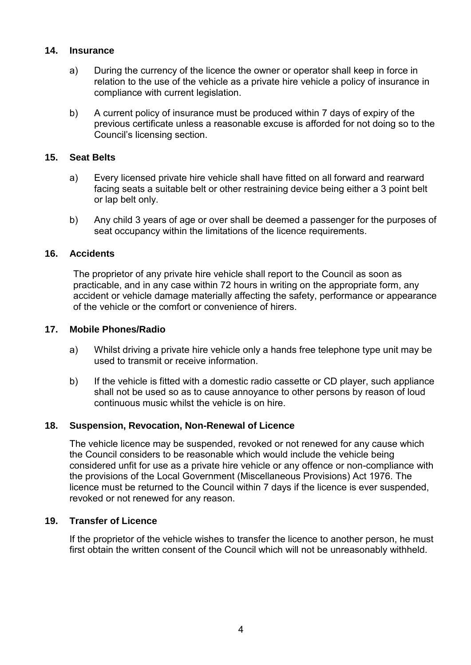## **14. Insurance**

- a) During the currency of the licence the owner or operator shall keep in force in relation to the use of the vehicle as a private hire vehicle a policy of insurance in compliance with current legislation.
- b) A current policy of insurance must be produced within 7 days of expiry of the previous certificate unless a reasonable excuse is afforded for not doing so to the Council's licensing section.

## **15. Seat Belts**

- a) Every licensed private hire vehicle shall have fitted on all forward and rearward facing seats a suitable belt or other restraining device being either a 3 point belt or lap belt only.
- b) Any child 3 years of age or over shall be deemed a passenger for the purposes of seat occupancy within the limitations of the licence requirements.

## **16. Accidents**

The proprietor of any private hire vehicle shall report to the Council as soon as practicable, and in any case within 72 hours in writing on the appropriate form, any accident or vehicle damage materially affecting the safety, performance or appearance of the vehicle or the comfort or convenience of hirers.

## **17. Mobile Phones/Radio**

- a) Whilst driving a private hire vehicle only a hands free telephone type unit may be used to transmit or receive information.
- b) If the vehicle is fitted with a domestic radio cassette or CD player, such appliance shall not be used so as to cause annoyance to other persons by reason of loud continuous music whilst the vehicle is on hire.

## **18. Suspension, Revocation, Non-Renewal of Licence**

The vehicle licence may be suspended, revoked or not renewed for any cause which the Council considers to be reasonable which would include the vehicle being considered unfit for use as a private hire vehicle or any offence or non-compliance with the provisions of the Local Government (Miscellaneous Provisions) Act 1976. The licence must be returned to the Council within 7 days if the licence is ever suspended, revoked or not renewed for any reason.

## **19. Transfer of Licence**

If the proprietor of the vehicle wishes to transfer the licence to another person, he must first obtain the written consent of the Council which will not be unreasonably withheld.